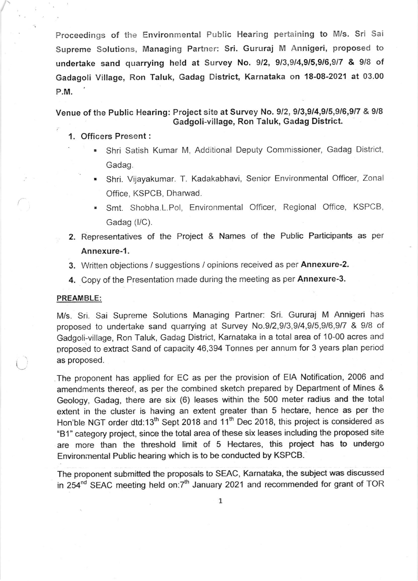Proceedings of the Environmental Public Hearing pertaining to M/s. Sri Sai Supreme Solutions, Managing Partner: Sri. Gururaj M Annigeri, proposed to undertake sand quarrying held at Survey No. 9/2, 9/3,9/4,9/5,9/6,9/7 & 9/8 of Gadagoli Village, Ron Taluk, Gadag District, Karnataka on 18-08-2021 at 03.00 P.M.

Venue of the Public Hearing: Project site at Survey No. 9/2, 9/3,9/4,9/5,9/6,9/7 & 9/8 Gadgoli-village, Ron Taluk, Gadag District.

- 1. Officers Present :
	- Shri Satish Kumar M, Additional Deputy Commissioner, Gadag District, Gadag.
	- Shri. Vijayakumar. T. Kadakabhavi, Senior Environmental Officer, Zonal Office, KSPCB, Dharwad.
	- . Smt. Shobha.L.Pol, Environmental Officer, Regional Office, KSPCB, Gadag (I/C).
- 2. Representatives of the Project & Names of the Public Participants as per Annexure-1.
- 3. Written objections / suggestions / opinions received as per Annexure-2.
- 4. Copy of the Presentation made during the meeting as per Annexure-3.

## PREAMBLE:

M/s. Sri Sai Supreme Solutions Managing Partner: Sri. Gururaj M Annigeri has proposed to undertake sand quarrying at Survey No.9/2,9/3,9/4,9/5,9/6,9/7 & 9/8 of Gadgoli-village, Ron Taluk, Gadag District, Karnataka in a total area of 10-00 acres and proposed to extract Sand of capacity 46,394 Tonnes per annum for 3 years plan period as proposed.

The proponent has applied for EC as per the provision of EIA Notification, 2006 and amendments thereof, as per the combined sketch prepared by Department of Mines & Geology, Gadag, there are six (6) Ieases within the 500 meter radius and the total extent in the cluster is having an extent greater than 5 hectare, hence as per the Hon'ble NGT order dtd:13<sup>th</sup> Sept 2018 and 11<sup>th</sup> Dec 2018, this project is considered as "Bl " category project, since the total area of these six leases including the proposed site are more than the threshold limit of 5 Hectares, this project has to undergo Environmental Public hearing which is to be conducted by KSPCB.

The proponent submitted the proposals to SEAC, Karnataka, the subject was discussed in 254<sup>nd</sup> SEAC meeting held on:7<sup>th</sup> January 2021 and recommended for grant of TOR

1